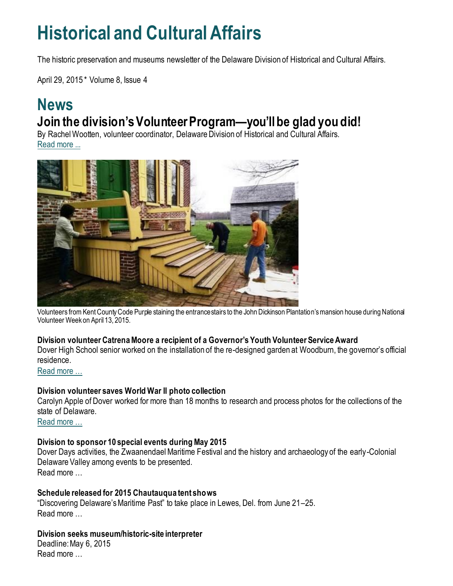## **Historical and Cultural Affairs**

The historic preservation and museums newsletter of the Delaware Division of Historical and Cultural Affairs.

April 29, 2015 \* Volume 8, Issue 4

### **News Join the division's Volunteer Program—you'll be glad you did!**

By Rachel Wootten, volunteer coordinator, Delaware Division of Historical and Cultural Affairs. [Read more ...](http://history.blogs.delaware.gov/2015/04/23/join-the-divisions-volunteer-program-youll-be-glad-you-did/)



Volunteers from Kent County Code Purple staining the entrance stairs to the John Dickinson Plantation's mansion house during National Volunteer Week on April 13, 2015.

#### **Division volunteer Catrena Moore a recipient of a Governor's Youth Volunteer Service Award**

Dover High School senior worked on the installation of the re-designed garden at Woodburn, the governor's official residence.

[Read more …](https://history.delaware.gov/2015/04/27/division-volunteer-catrena-moore-a-recipient-of-a-governors-youth-volunteer-service-award/)

#### **Division volunteer saves World War II photo collection**

Carolyn Apple of Dover worked for more than 18 months to research and process photos for the collections of the state of Delaware.

[Read more …](https://history.delaware.gov/2015/04/29/division-volunteer-saves-world-war-ii-photo-collection/)

#### **Division to sponsor 10 special events during May 2015**

Dover Days activities, the Zwaanendael Maritime Festival and the history and archaeology of the early-Colonial Delaware Valley among events to be presented. Read more …

#### **Schedule released for 2015 Chautauqua tent shows**

"Discovering Delaware's Maritime Past" to take place in Lewes, Del. from June 21–25. Read more …

**Division seeks museum/historic-site interpreter**  Deadline: May 6, 2015 Read more …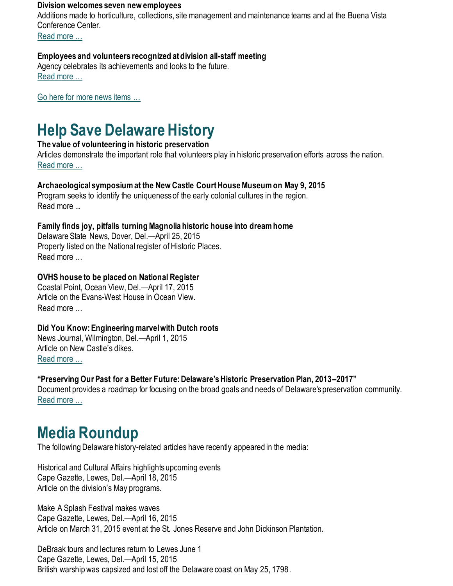#### **Division welcomes seven new employees**

Additions made to horticulture, collections, site management and maintenance teams and at the Buena Vista Conference Center.

[Read more …](https://history.delaware.gov/2015/04/29/division-welcomes-seven-new-employees/)

#### **Employees and volunteers recognized at division all-staff meeting**

Agency celebrates its achievements and looks to the future. [Read more …](https://history.delaware.gov/2015/04/29/employees-and-volunteers-recognized-at-division-all-staff-meeting/)

[Go here for more news items …](http://history.blogs.delaware.gov/)

## **Help Save Delaware History**

#### **The value of volunteering in historic preservation**

Articles demonstrate the important role that volunteers play in historic preservation efforts across the nation. [Read more …](https://history.delaware.gov/2015/04/29/the-value-of-volunteering-in-historic-preservation/)

#### **Archaeological symposium at the New Castle Court House Museum on May 9, 2015**

Program seeks to identify the uniqueness of the early colonial cultures in the region. Read more ...

#### **Family finds joy, pitfalls turning Magnolia historic house into dream home**

Delaware State News, Dover, Del.—April 25, 2015 Property listed on the National register of Historic Places. Read more …

#### **OVHS house to be placed on National Register**

Coastal Point, Ocean View, Del.—April 17, 2015 Article on the Evans-West House in Ocean View. Read more …

#### **Did You Know: Engineering marvel with Dutch roots**

News Journal, Wilmington, Del.—April 1, 2015 Article on New Castle's dikes. [Read more …](https://www.delawareonline.com/story/life/did-you-know/2015/04/01/know-engineering-marvel-dutch-roots/70766172/)

**"Preserving Our Past for a Better Future: Delaware's Historic Preservation Plan, 2013–2017"** Document provides a roadmap for focusing on the broad goals and needs of Delaware's preservation community. [Read more …](https://history.delaware.gov/wp-content/uploads/sites/179/2019/02/Preservation-Plan-2013-2017.pdf)

## **Media Roundup**

The following Delaware history-related articles have recently appeared in the media:

Historical and Cultural Affairs highlights upcoming events Cape Gazette, Lewes, Del.—April 18, 2015 Article on the division's May programs.

Make A Splash Festival makes waves Cape Gazette, Lewes, Del.—April 16, 2015 Article on March 31, 2015 event at the St. Jones Reserve and John Dickinson Plantation.

DeBraak tours and lectures return to Lewes June 1 Cape Gazette, Lewes, Del.—April 15, 2015 British warship was capsized and lost off the Delaware coast on May 25, 1798.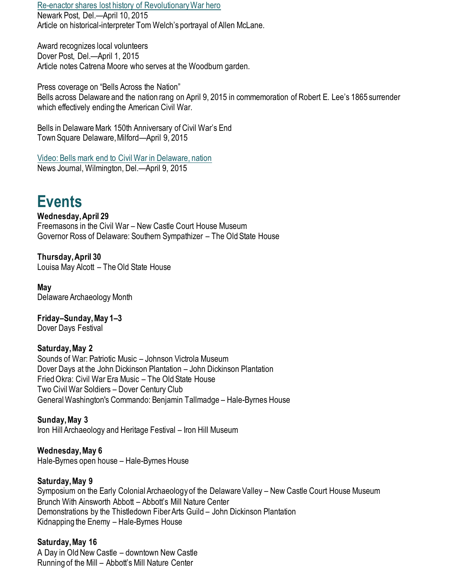[Re-enactor shares lost history of Revolutionary War hero](https://www.newarkpostonline.com/features/article_138d229e-53e4-55f9-ad7c-51ee1a37e0af.html) Newark Post, Del.—April 10, 2015 Article on historical-interpreter Tom Welch's portrayal of Allen McLane.

Award recognizes local volunteers Dover Post, Del.—April 1, 2015 Article notes Catrena Moore who serves at the Woodburn garden.

Press coverage on "Bells Across the Nation" Bells across Delaware and the nation rang on April 9, 2015 in commemoration of Robert E. Lee's 1865 surrender which effectively ending the American Civil War.

Bells in Delaware Mark 150th Anniversary of Civil War's End Town Square Delaware, Milford—April 9, 2015

[Video: Bells mark end to Civil War in Delaware, nation](https://www.delawareonline.com/videos/news/2015/04/09/25561281/) News Journal, Wilmington, Del.—April 9, 2015

## **Events**

**Wednesday, April 29** Freemasons in the Civil War – New Castle Court House Museum Governor Ross of Delaware: Southern Sympathizer – The Old State House

**Thursday, April 30** Louisa May Alcott – The Old State House

**May** Delaware Archaeology Month

**Friday–Sunday, May 1–3** Dover Days Festival

**Saturday, May 2** Sounds of War: Patriotic Music – Johnson Victrola Museum Dover Days at the John Dickinson Plantation – John Dickinson Plantation Fried Okra: Civil War Era Music – The Old State House Two Civil War Soldiers – Dover Century Club General Washington's Commando: Benjamin Tallmadge – Hale-Byrnes House

**Sunday, May 3** Iron Hill Archaeology and Heritage Festival – Iron Hill Museum

**Wednesday, May 6** Hale-Byrnes open house – Hale-Byrnes House

#### **Saturday, May 9**

Symposium on the Early Colonial Archaeology of the Delaware Valley – New Castle Court House Museum Brunch With Ainsworth Abbott – Abbott's Mill Nature Center Demonstrations by the Thistledown Fiber Arts Guild – John Dickinson Plantation Kidnapping the Enemy – Hale-Byrnes House

#### **Saturday, May 16**

A Day in Old New Castle – downtown New Castle Running of the Mill – Abbott's Mill Nature Center